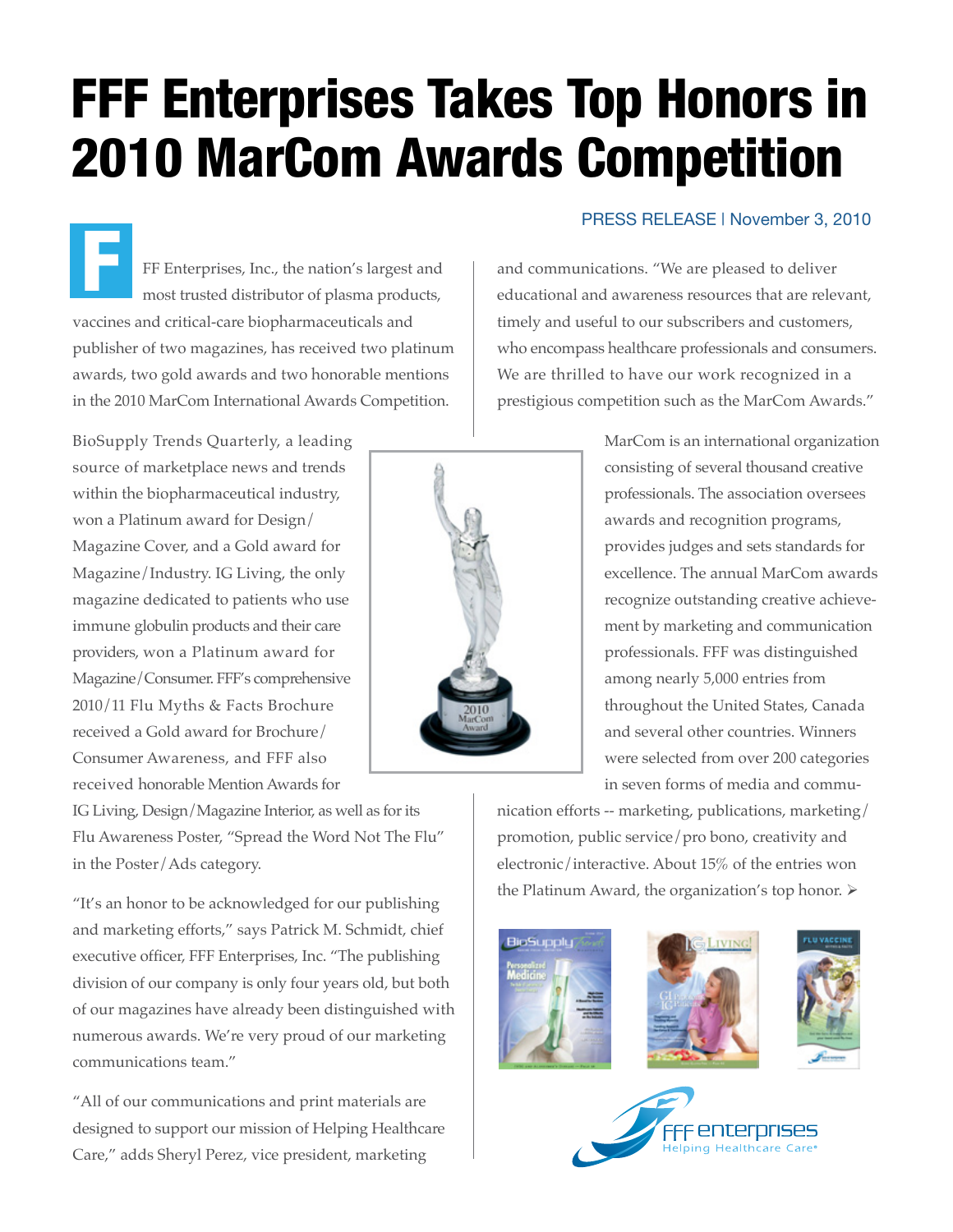## FFF Enterprises Takes Top Honors in 2010 MarCom Awards Competition

FF Enterprises, Inc., the nation's largest and most trusted distributor of plasma products, vaccines and critical-care biopharmaceuticals and publisher of two magazines, has received two platinum awards, two gold awards and two honorable mentions in the 2010 MarCom International Awards Competition. F

BioSupply Trends Quarterly, a leading source of marketplace news and trends within the biopharmaceutical industry, won a Platinum award for Design/ Magazine Cover, and a Gold award for Magazine/Industry. IG Living, the only magazine dedicated to patients who use immune globulin products and their care providers, won a Platinum award for Magazine/Consumer. FFF's comprehensive 2010/11 Flu Myths & Facts Brochure received a Gold award for Brochure/ Consumer Awareness, and FFF also received honorable Mention Awards for

IG Living, Design/Magazine Interior, as well as for its Flu Awareness Poster, "Spread the Word Not The Flu" in the Poster/Ads category.

"It's an honor to be acknowledged for our publishing and marketing efforts," says Patrick M. Schmidt, chief executive officer, FFF Enterprises, Inc. "The publishing division of our company is only four years old, but both of our magazines have already been distinguished with numerous awards. We're very proud of our marketing communications team."

"All of our communications and print materials are designed to support our mission of Helping Healthcare Care," adds Sheryl Perez, vice president, marketing

and communications. "We are pleased to deliver educational and awareness resources that are relevant, timely and useful to our subscribers and customers, who encompass healthcare professionals and consumers. We are thrilled to have our work recognized in a prestigious competition such as the MarCom Awards."

PRESS RELEASE | November 3, 2010

MarCom is an international organization consisting of several thousand creative professionals. The association oversees awards and recognition programs, provides judges and sets standards for excellence. The annual MarCom awards recognize outstanding creative achievement by marketing and communication professionals. FFF was distinguished among nearly 5,000 entries from throughout the United States, Canada and several other countries. Winners were selected from over 200 categories in seven forms of media and commu-

nication efforts -- marketing, publications, marketing/ promotion, public service/pro bono, creativity and electronic/interactive. About 15% of the entries won the Platinum Award, the organization's top honor.